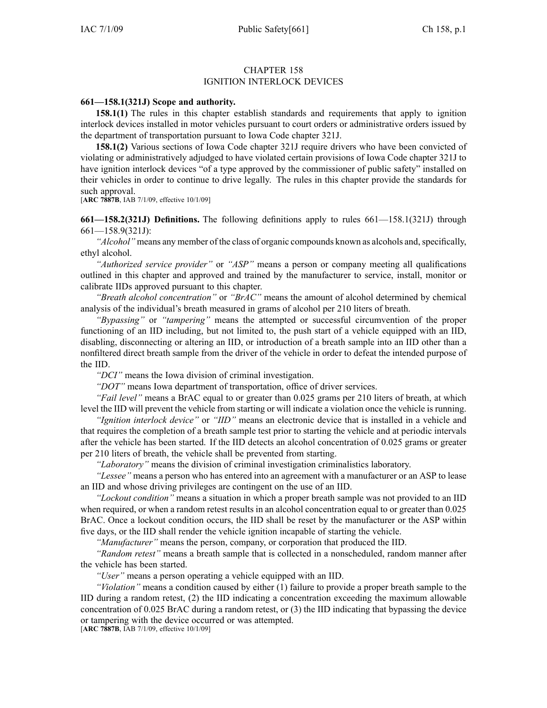## CHAPTER 158 IGNITION INTERLOCK DEVICES

## **661—158.1(321J) Scope and authority.**

**158.1(1)** The rules in this chapter establish standards and requirements that apply to ignition interlock devices installed in motor vehicles pursuan<sup>t</sup> to court orders or administrative orders issued by the department of transportation pursuan<sup>t</sup> to Iowa Code chapter 321J.

**158.1(2)** Various sections of Iowa Code chapter 321J require drivers who have been convicted of violating or administratively adjudged to have violated certain provisions of Iowa Code chapter 321J to have ignition interlock devices "of <sup>a</sup> type approved by the commissioner of public safety" installed on their vehicles in order to continue to drive legally. The rules in this chapter provide the standards for such approval.

[**ARC 7887B**, IAB 7/1/09, effective 10/1/09]

**661—158.2(321J) Definitions.** The following definitions apply to rules 661—158.1(321J) through 661—158.9(321J):

*"Alcohol"* means any member of the class of organic compounds known as alcohols and, specifically, ethyl alcohol.

*"Authorized service provider"* or *"ASP"* means <sup>a</sup> person or company meeting all qualifications outlined in this chapter and approved and trained by the manufacturer to service, install, monitor or calibrate IIDs approved pursuan<sup>t</sup> to this chapter.

*"Breath alcohol concentration"* or *"BrAC"* means the amount of alcohol determined by chemical analysis of the individual's breath measured in grams of alcohol per 210 liters of breath.

*"Bypassing"* or *"tampering"* means the attempted or successful circumvention of the proper functioning of an IID including, but not limited to, the push start of <sup>a</sup> vehicle equipped with an IID, disabling, disconnecting or altering an IID, or introduction of <sup>a</sup> breath sample into an IID other than <sup>a</sup> nonfiltered direct breath sample from the driver of the vehicle in order to defeat the intended purpose of the IID.

*"DCI"* means the Iowa division of criminal investigation.

*"DOT"* means Iowa department of transportation, office of driver services.

*"Fail level"* means <sup>a</sup> BrAC equal to or greater than 0.025 grams per 210 liters of breath, at which level the IID will preven<sup>t</sup> the vehicle from starting or will indicate <sup>a</sup> violation once the vehicle is running.

*"Ignition interlock device"* or *"IID"* means an electronic device that is installed in <sup>a</sup> vehicle and that requires the completion of <sup>a</sup> breath sample test prior to starting the vehicle and at periodic intervals after the vehicle has been started. If the IID detects an alcohol concentration of 0.025 grams or greater per 210 liters of breath, the vehicle shall be prevented from starting.

*"Laboratory"* means the division of criminal investigation criminalistics laboratory.

*"Lessee"* means <sup>a</sup> person who has entered into an agreemen<sup>t</sup> with <sup>a</sup> manufacturer or an ASP to lease an IID and whose driving privileges are contingent on the use of an IID.

*"Lockout condition"* means <sup>a</sup> situation in which <sup>a</sup> proper breath sample was not provided to an IID when required, or when a random retest results in an alcohol concentration equal to or greater than 0.025 BrAC. Once <sup>a</sup> lockout condition occurs, the IID shall be reset by the manufacturer or the ASP within five days, or the IID shall render the vehicle ignition incapable of starting the vehicle.

*"Manufacturer"* means the person, company, or corporation that produced the IID.

*"Random retest"* means <sup>a</sup> breath sample that is collected in <sup>a</sup> nonscheduled, random manner after the vehicle has been started.

*"User"* means <sup>a</sup> person operating <sup>a</sup> vehicle equipped with an IID.

*"Violation"* means <sup>a</sup> condition caused by either (1) failure to provide <sup>a</sup> proper breath sample to the IID during <sup>a</sup> random retest, (2) the IID indicating <sup>a</sup> concentration exceeding the maximum allowable concentration of 0.025 BrAC during <sup>a</sup> random retest, or (3) the IID indicating that bypassing the device or tampering with the device occurred or was attempted.

[**ARC 7887B**, IAB 7/1/09, effective 10/1/09]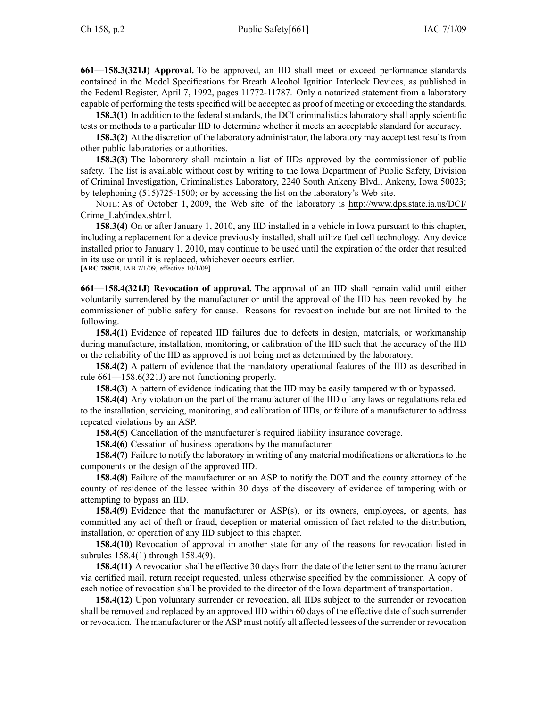**661—158.3(321J) Approval.** To be approved, an IID shall meet or exceed performance standards contained in the Model Specifications for Breath Alcohol Ignition Interlock Devices, as published in the Federal Register, April 7, 1992, pages 11772-11787. Only <sup>a</sup> notarized statement from <sup>a</sup> laboratory capable of performing the tests specified will be accepted as proof of meeting or exceeding the standards.

**158.3(1)** In addition to the federal standards, the DCI criminalistics laboratory shall apply scientific tests or methods to <sup>a</sup> particular IID to determine whether it meets an acceptable standard for accuracy.

**158.3(2)** At the discretion of the laboratory administrator, the laboratory may accept test results from other public laboratories or authorities.

**158.3(3)** The laboratory shall maintain <sup>a</sup> list of IIDs approved by the commissioner of public safety. The list is available without cost by writing to the Iowa Department of Public Safety, Division of Criminal Investigation, Criminalistics Laboratory, 2240 South Ankeny Blvd., Ankeny, Iowa 50023; by telephoning (515)725-1500; or by accessing the list on the laboratory's Web site.

NOTE: As of October 1, 2009, the Web site of the laboratory is http://www.dps.state.ia.us/DCI/ Crime\_Lab/index.shtml.

**158.3(4)** On or after January 1, 2010, any IID installed in <sup>a</sup> vehicle in Iowa pursuan<sup>t</sup> to this chapter, including <sup>a</sup> replacement for <sup>a</sup> device previously installed, shall utilize fuel cell technology. Any device installed prior to January 1, 2010, may continue to be used until the expiration of the order that resulted in its use or until it is replaced, whichever occurs earlier.

[**ARC 7887B**, IAB 7/1/09, effective 10/1/09]

**661—158.4(321J) Revocation of approval.** The approval of an IID shall remain valid until either voluntarily surrendered by the manufacturer or until the approval of the IID has been revoked by the commissioner of public safety for cause. Reasons for revocation include but are not limited to the following.

**158.4(1)** Evidence of repeated IID failures due to defects in design, materials, or workmanship during manufacture, installation, monitoring, or calibration of the IID such that the accuracy of the IID or the reliability of the IID as approved is not being met as determined by the laboratory.

**158.4(2)** A pattern of evidence that the mandatory operational features of the IID as described in rule 661—158.6(321J) are not functioning properly.

**158.4(3)** A pattern of evidence indicating that the IID may be easily tampered with or bypassed.

**158.4(4)** Any violation on the par<sup>t</sup> of the manufacturer of the IID of any laws or regulations related to the installation, servicing, monitoring, and calibration of IIDs, or failure of <sup>a</sup> manufacturer to address repeated violations by an ASP.

**158.4(5)** Cancellation of the manufacturer's required liability insurance coverage.

**158.4(6)** Cessation of business operations by the manufacturer.

**158.4(7)** Failure to notify the laboratory in writing of any material modifications or alterations to the components or the design of the approved IID.

**158.4(8)** Failure of the manufacturer or an ASP to notify the DOT and the county attorney of the county of residence of the lessee within 30 days of the discovery of evidence of tampering with or attempting to bypass an IID.

**158.4(9)** Evidence that the manufacturer or ASP(s), or its owners, employees, or agents, has committed any act of theft or fraud, deception or material omission of fact related to the distribution, installation, or operation of any IID subject to this chapter.

**158.4(10)** Revocation of approval in another state for any of the reasons for revocation listed in subrules 158.4(1) through 158.4(9).

**158.4(11)** A revocation shall be effective 30 days from the date of the letter sent to the manufacturer via certified mail, return receipt requested, unless otherwise specified by the commissioner. A copy of each notice of revocation shall be provided to the director of the Iowa department of transportation.

**158.4(12)** Upon voluntary surrender or revocation, all IIDs subject to the surrender or revocation shall be removed and replaced by an approved IID within 60 days of the effective date of such surrender or revocation. The manufacturer or the ASP must notify all affected lessees of the surrender or revocation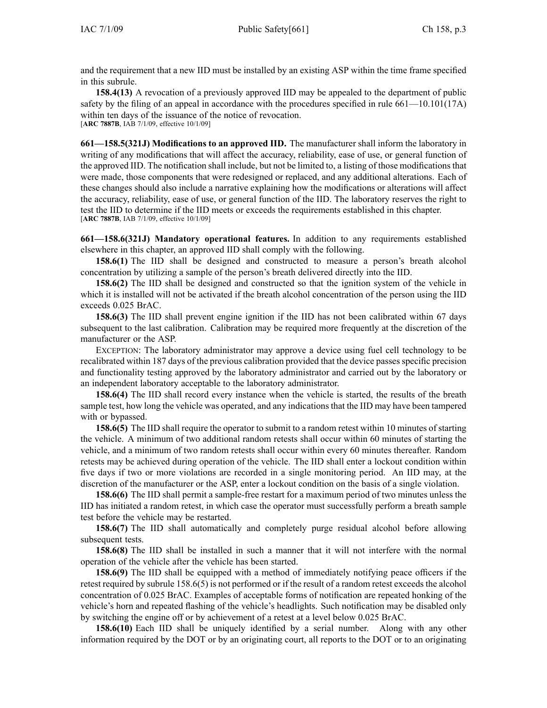and the requirement that <sup>a</sup> new IID must be installed by an existing ASP within the time frame specified in this subrule.

**158.4(13)** A revocation of <sup>a</sup> previously approved IID may be appealed to the department of public safety by the filing of an appeal in accordance with the procedures specified in rule 661—10.101(17A) within ten days of the issuance of the notice of revocation. [**ARC 7887B**, IAB 7/1/09, effective 10/1/09]

**661—158.5(321J) Modifications to an approved IID.** The manufacturer shall inform the laboratory in writing of any modifications that will affect the accuracy, reliability, ease of use, or general function of the approved IID. The notification shall include, but not be limited to, <sup>a</sup> listing of those modificationsthat were made, those components that were redesigned or replaced, and any additional alterations. Each of these changes should also include <sup>a</sup> narrative explaining how the modifications or alterations will affect the accuracy, reliability, ease of use, or general function of the IID. The laboratory reserves the right to test the IID to determine if the IID meets or exceeds the requirements established in this chapter. [**ARC 7887B**, IAB 7/1/09, effective 10/1/09]

**661—158.6(321J) Mandatory operational features.** In addition to any requirements established elsewhere in this chapter, an approved IID shall comply with the following.

**158.6(1)** The IID shall be designed and constructed to measure <sup>a</sup> person's breath alcohol concentration by utilizing <sup>a</sup> sample of the person's breath delivered directly into the IID.

**158.6(2)** The IID shall be designed and constructed so that the ignition system of the vehicle in which it is installed will not be activated if the breath alcohol concentration of the person using the IID exceeds 0.025 BrAC.

**158.6(3)** The IID shall preven<sup>t</sup> engine ignition if the IID has not been calibrated within 67 days subsequent to the last calibration. Calibration may be required more frequently at the discretion of the manufacturer or the ASP.

EXCEPTION: The laboratory administrator may approve <sup>a</sup> device using fuel cell technology to be recalibrated within 187 days of the previous calibration provided that the device passes specific precision and functionality testing approved by the laboratory administrator and carried out by the laboratory or an independent laboratory acceptable to the laboratory administrator.

**158.6(4)** The IID shall record every instance when the vehicle is started, the results of the breath sample test, how long the vehicle was operated, and any indications that the IID may have been tampered with or bypassed.

**158.6(5)** The IID shall require the operator to submit to <sup>a</sup> random retest within 10 minutes of starting the vehicle. A minimum of two additional random retests shall occur within 60 minutes of starting the vehicle, and <sup>a</sup> minimum of two random retests shall occur within every 60 minutes thereafter. Random retests may be achieved during operation of the vehicle. The IID shall enter <sup>a</sup> lockout condition within five days if two or more violations are recorded in <sup>a</sup> single monitoring period. An IID may, at the discretion of the manufacturer or the ASP, enter <sup>a</sup> lockout condition on the basis of <sup>a</sup> single violation.

**158.6(6)** The IID shall permit <sup>a</sup> sample-free restart for <sup>a</sup> maximum period of two minutes unless the IID has initiated <sup>a</sup> random retest, in which case the operator must successfully perform <sup>a</sup> breath sample test before the vehicle may be restarted.

**158.6(7)** The IID shall automatically and completely purge residual alcohol before allowing subsequent tests.

**158.6(8)** The IID shall be installed in such <sup>a</sup> manner that it will not interfere with the normal operation of the vehicle after the vehicle has been started.

**158.6(9)** The IID shall be equipped with <sup>a</sup> method of immediately notifying peace officers if the retest required by subrule 158.6(5) is not performed or if the result of <sup>a</sup> random retest exceeds the alcohol concentration of 0.025 BrAC. Examples of acceptable forms of notification are repeated honking of the vehicle's horn and repeated flashing of the vehicle's headlights. Such notification may be disabled only by switching the engine off or by achievement of <sup>a</sup> retest at <sup>a</sup> level below 0.025 BrAC.

**158.6(10)** Each IID shall be uniquely identified by <sup>a</sup> serial number. Along with any other information required by the DOT or by an originating court, all reports to the DOT or to an originating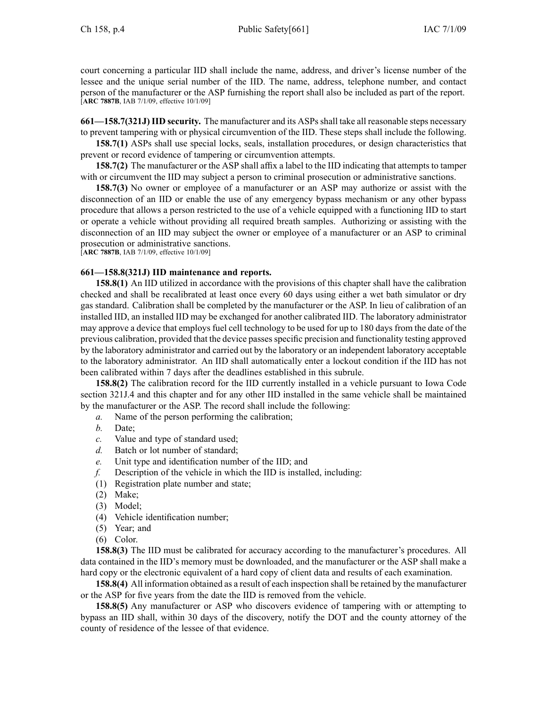court concerning <sup>a</sup> particular IID shall include the name, address, and driver's license number of the lessee and the unique serial number of the IID. The name, address, telephone number, and contact person of the manufacturer or the ASP furnishing the repor<sup>t</sup> shall also be included as par<sup>t</sup> of the report. [**ARC 7887B**, IAB 7/1/09, effective 10/1/09]

**661—158.7(321J)IID security.** The manufacturer and its ASPsshall take all reasonable steps necessary to preven<sup>t</sup> tampering with or physical circumvention of the IID. These steps shall include the following.

**158.7(1)** ASPs shall use special locks, seals, installation procedures, or design characteristics that preven<sup>t</sup> or record evidence of tampering or circumvention attempts.

**158.7(2)** The manufacturer or the ASP shall affix <sup>a</sup> label to the IID indicating that attempts to tamper with or circumvent the IID may subject a person to criminal prosecution or administrative sanctions.

**158.7(3)** No owner or employee of <sup>a</sup> manufacturer or an ASP may authorize or assist with the disconnection of an IID or enable the use of any emergency bypass mechanism or any other bypass procedure that allows <sup>a</sup> person restricted to the use of <sup>a</sup> vehicle equipped with <sup>a</sup> functioning IID to start or operate <sup>a</sup> vehicle without providing all required breath samples. Authorizing or assisting with the disconnection of an IID may subject the owner or employee of <sup>a</sup> manufacturer or an ASP to criminal prosecution or administrative sanctions.

[**ARC 7887B**, IAB 7/1/09, effective 10/1/09]

## **661—158.8(321J) IID maintenance and reports.**

**158.8(1)** An IID utilized in accordance with the provisions of this chapter shall have the calibration checked and shall be recalibrated at least once every 60 days using either <sup>a</sup> wet bath simulator or dry gas standard. Calibration shall be completed by the manufacturer or the ASP. In lieu of calibration of an installed IID, an installed IID may be exchanged for another calibrated IID. The laboratory administrator may approve <sup>a</sup> device that employs fuel cell technology to be used for up to 180 days from the date of the previous calibration, provided that the device passes specific precision and functionality testing approved by the laboratory administrator and carried out by the laboratory or an independent laboratory acceptable to the laboratory administrator. An IID shall automatically enter <sup>a</sup> lockout condition if the IID has not been calibrated within 7 days after the deadlines established in this subrule.

**158.8(2)** The calibration record for the IID currently installed in <sup>a</sup> vehicle pursuan<sup>t</sup> to Iowa Code section 321J.4 and this chapter and for any other IID installed in the same vehicle shall be maintained by the manufacturer or the ASP. The record shall include the following:

- *a.* Name of the person performing the calibration;
- *b.* Date;
- *c.* Value and type of standard used;
- *d.* Batch or lot number of standard;
- *e.* Unit type and identification number of the IID; and
- *f.* Description of the vehicle in which the IID is installed, including:
- (1) Registration plate number and state;
- (2) Make;
- (3) Model;
- (4) Vehicle identification number;
- (5) Year; and
- (6) Color.

**158.8(3)** The IID must be calibrated for accuracy according to the manufacturer's procedures. All data contained in the IID's memory must be downloaded, and the manufacturer or the ASP shall make <sup>a</sup> hard copy or the electronic equivalent of <sup>a</sup> hard copy of client data and results of each examination.

**158.8(4)** All information obtained as <sup>a</sup> result of each inspection shall be retained by the manufacturer or the ASP for five years from the date the IID is removed from the vehicle.

**158.8(5)** Any manufacturer or ASP who discovers evidence of tampering with or attempting to bypass an IID shall, within 30 days of the discovery, notify the DOT and the county attorney of the county of residence of the lessee of that evidence.